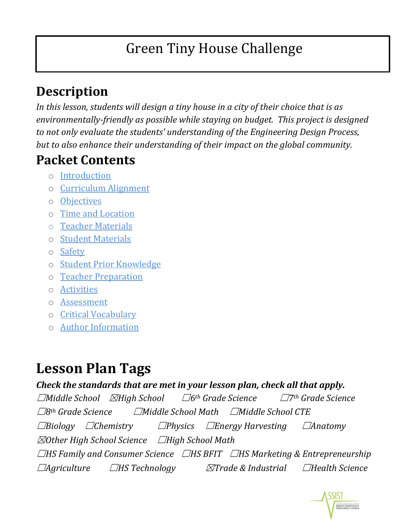# Green Tiny House Challenge

#### **Description**

*In this lesson, students will design a tiny house in a city of their choice that is as environmentally-friendly as possible while staying on budget. This project is designed to not only evaluate the students' understanding of the Engineering Design Process, but to also enhance their understanding of their impact on the global community.*

#### **Packet Contents**

- o [Introduction](#page-0-0)
- o [Curriculum Alignment](#page-1-0)
- o [Objectives](#page-1-1)
- o [Time and Location](#page-2-0)
- o [Teacher Materials](#page-2-1)
- o [Student Materials](#page-2-2)
- o [Safety](#page-3-0)
- o [Student Prior Knowledge](#page-3-1)
- o [Teacher Preparation](#page-3-2)
- o [Activities](#page-3-3)
- o [Assessment](#page-5-0)
- o [Critical Vocabulary](#page-6-0)
- o [Author Information](#page-6-1)

# **Lesson Plan Tags**

#### *Check the standards that are met in your lesson plan, check all that apply.*

<span id="page-0-0"></span>☐*Middle School* ☒*High School* ☐*6th Grade Science* ☐*7th Grade Science* ☐*8th Grade Science* ☐*Middle School Math* ☐*Middle School CTE* ☐*Biology* ☐*Chemistry* ☐*Physics* ☐*Energy Harvesting* ☐*Anatomy* ☒*Other High School Science* ☐*High School Math* ☐*HS Family and Consumer Science* ☐*HS BFIT* ☐*HS Marketing & Entrepreneurship* ☐*Agriculture* ☐*HS Technology* ☒*Trade & Industrial* ☐*Health Science*

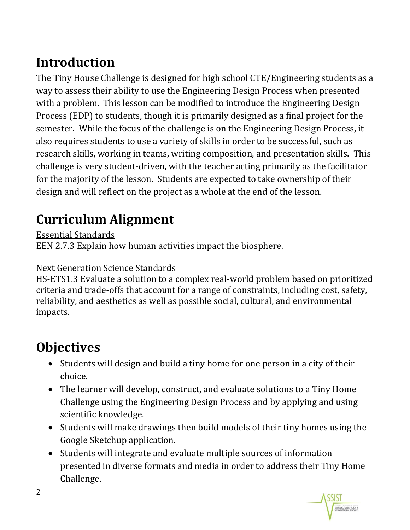#### **Introduction**

The Tiny House Challenge is designed for high school CTE/Engineering students as a way to assess their ability to use the Engineering Design Process when presented with a problem. This lesson can be modified to introduce the Engineering Design Process (EDP) to students, though it is primarily designed as a final project for the semester. While the focus of the challenge is on the Engineering Design Process, it also requires students to use a variety of skills in order to be successful, such as research skills, working in teams, writing composition, and presentation skills. This challenge is very student-driven, with the teacher acting primarily as the facilitator for the majority of the lesson. Students are expected to take ownership of their design and will reflect on the project as a whole at the end of the lesson.

#### <span id="page-1-0"></span>**Curriculum Alignment**

Essential Standards

EEN 2.7.3 Explain how human activities impact the biosphere.

#### Next Generation Science Standards

HS-ETS1.3 Evaluate a solution to a complex real-world problem based on prioritized criteria and trade-offs that account for a range of constraints, including cost, safety, reliability, and aesthetics as well as possible social, cultural, and environmental impacts.

#### <span id="page-1-1"></span>**Objectives**

- Students will design and build a tiny home for one person in a city of their choice.
- The learner will develop, construct, and evaluate solutions to a Tiny Home Challenge using the Engineering Design Process and by applying and using scientific knowledge.
- Students will make drawings then build models of their tiny homes using the Google Sketchup application.
- Students will integrate and evaluate multiple sources of information presented in diverse formats and media in order to address their Tiny Home Challenge.

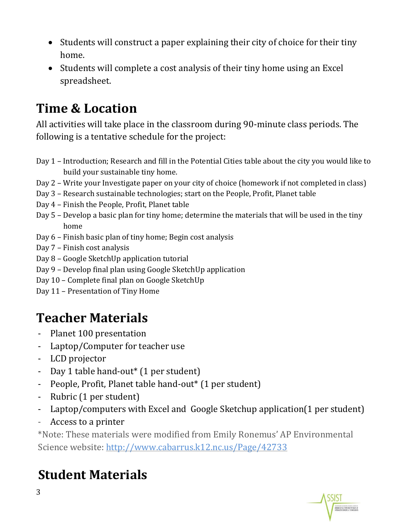- Students will construct a paper explaining their city of choice for their tiny home.
- Students will complete a cost analysis of their tiny home using an Excel spreadsheet.

#### <span id="page-2-0"></span>**Time & Location**

All activities will take place in the classroom during 90-minute class periods. The following is a tentative schedule for the project:

- Day 1 Introduction; Research and fill in the Potential Cities table about the city you would like to build your sustainable tiny home.
- Day 2 Write your Investigate paper on your city of choice (homework if not completed in class)
- Day 3 Research sustainable technologies; start on the People, Profit, Planet table
- Day 4 Finish the People, Profit, Planet table
- Day 5 Develop a basic plan for tiny home; determine the materials that will be used in the tiny home
- Day 6 Finish basic plan of tiny home; Begin cost analysis
- Day 7 Finish cost analysis
- Day 8 Google SketchUp application tutorial
- Day 9 Develop final plan using Google SketchUp application
- Day 10 Complete final plan on Google SketchUp
- Day 11 Presentation of Tiny Home

# <span id="page-2-1"></span>**Teacher Materials**

- Planet 100 presentation
- Laptop/Computer for teacher use
- LCD projector
- Day 1 table hand-out\* (1 per student)
- People, Profit, Planet table hand-out\* (1 per student)
- Rubric (1 per student)
- Laptop/computers with Excel and Google Sketchup application(1 per student)
- Access to a printer

\*Note: These materials were modified from Emily Ronemus' AP Environmental Science website:<http://www.cabarrus.k12.nc.us/Page/42733>

# <span id="page-2-2"></span>**Student Materials**

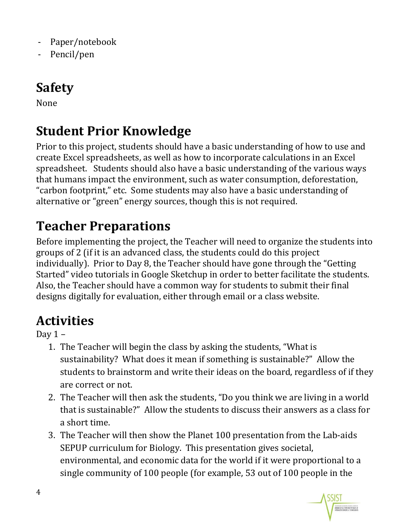- Paper/notebook
- <span id="page-3-0"></span>- Pencil/pen

#### **Safety**

None

### <span id="page-3-1"></span>**Student Prior Knowledge**

Prior to this project, students should have a basic understanding of how to use and create Excel spreadsheets, as well as how to incorporate calculations in an Excel spreadsheet. Students should also have a basic understanding of the various ways that humans impact the environment, such as water consumption, deforestation, "carbon footprint," etc. Some students may also have a basic understanding of alternative or "green" energy sources, though this is not required.

### <span id="page-3-2"></span>**Teacher Preparations**

Before implementing the project, the Teacher will need to organize the students into groups of 2 (if it is an advanced class, the students could do this project individually). Prior to Day 8, the Teacher should have gone through the "Getting Started" video tutorials in Google Sketchup in order to better facilitate the students. Also, the Teacher should have a common way for students to submit their final designs digitally for evaluation, either through email or a class website.

### <span id="page-3-3"></span>**Activities**

Day  $1 -$ 

- 1. The Teacher will begin the class by asking the students, "What is sustainability? What does it mean if something is sustainable?" Allow the students to brainstorm and write their ideas on the board, regardless of if they are correct or not.
- 2. The Teacher will then ask the students, "Do you think we are living in a world that is sustainable?" Allow the students to discuss their answers as a class for a short time.
- 3. The Teacher will then show the Planet 100 presentation from the Lab-aids SEPUP curriculum for Biology. This presentation gives societal, environmental, and economic data for the world if it were proportional to a single community of 100 people (for example, 53 out of 100 people in the

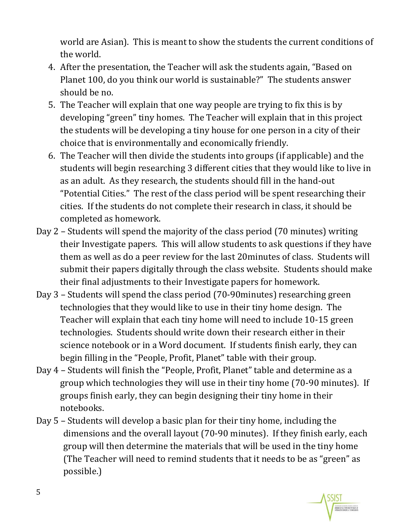world are Asian). This is meant to show the students the current conditions of the world.

- 4. After the presentation, the Teacher will ask the students again, "Based on Planet 100, do you think our world is sustainable?" The students answer should be no.
- 5. The Teacher will explain that one way people are trying to fix this is by developing "green" tiny homes. The Teacher will explain that in this project the students will be developing a tiny house for one person in a city of their choice that is environmentally and economically friendly.
- 6. The Teacher will then divide the students into groups (if applicable) and the students will begin researching 3 different cities that they would like to live in as an adult. As they research, the students should fill in the hand-out "Potential Cities." The rest of the class period will be spent researching their cities. If the students do not complete their research in class, it should be completed as homework.
- Day 2 Students will spend the majority of the class period (70 minutes) writing their Investigate papers. This will allow students to ask questions if they have them as well as do a peer review for the last 20minutes of class. Students will submit their papers digitally through the class website. Students should make their final adjustments to their Investigate papers for homework.
- Day 3 Students will spend the class period (70-90minutes) researching green technologies that they would like to use in their tiny home design. The Teacher will explain that each tiny home will need to include 10-15 green technologies. Students should write down their research either in their science notebook or in a Word document. If students finish early, they can begin filling in the "People, Profit, Planet" table with their group.
- Day 4 Students will finish the "People, Profit, Planet" table and determine as a group which technologies they will use in their tiny home (70-90 minutes). If groups finish early, they can begin designing their tiny home in their notebooks.
- Day 5 Students will develop a basic plan for their tiny home, including the dimensions and the overall layout (70-90 minutes). If they finish early, each group will then determine the materials that will be used in the tiny home (The Teacher will need to remind students that it needs to be as "green" as possible.)

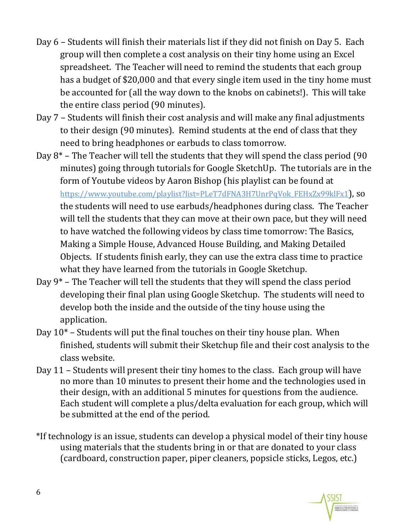- Day 6 Students will finish their materials list if they did not finish on Day 5. Each group will then complete a cost analysis on their tiny home using an Excel spreadsheet. The Teacher will need to remind the students that each group has a budget of \$20,000 and that every single item used in the tiny home must be accounted for (all the way down to the knobs on cabinets!). This will take the entire class period (90 minutes).
- Day 7 Students will finish their cost analysis and will make any final adjustments to their design (90 minutes). Remind students at the end of class that they need to bring headphones or earbuds to class tomorrow.
- Day 8\* The Teacher will tell the students that they will spend the class period (90 minutes) going through tutorials for Google SketchUp. The tutorials are in the form of Youtube videos by Aaron Bishop (his playlist can be found at

[https://www.youtube.com/playlist?list=PLeT7dFNA3H7UnrPqVok\\_FEHxZx99klFx1](https://www.youtube.com/playlist?list=PLeT7dFNA3H7UnrPqVok_FEHxZx99klFx1)), so the students will need to use earbuds/headphones during class. The Teacher will tell the students that they can move at their own pace, but they will need to have watched the following videos by class time tomorrow: The Basics, Making a Simple House, Advanced House Building, and Making Detailed Objects. If students finish early, they can use the extra class time to practice what they have learned from the tutorials in Google Sketchup.

- Day 9\* The Teacher will tell the students that they will spend the class period developing their final plan using Google Sketchup. The students will need to develop both the inside and the outside of the tiny house using the application.
- Day 10\* Students will put the final touches on their tiny house plan. When finished, students will submit their Sketchup file and their cost analysis to the class website.
- Day 11 Students will present their tiny homes to the class. Each group will have no more than 10 minutes to present their home and the technologies used in their design, with an additional 5 minutes for questions from the audience. Each student will complete a plus/delta evaluation for each group, which will be submitted at the end of the period.
- \*If technology is an issue, students can develop a physical model of their tiny house using materials that the students bring in or that are donated to your class (cardboard, construction paper, piper cleaners, popsicle sticks, Legos, etc.)

<span id="page-5-0"></span>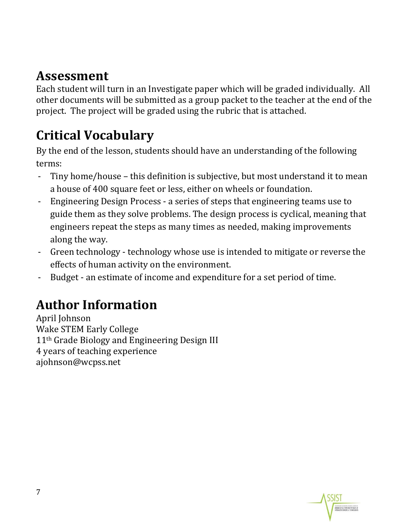#### **Assessment**

Each student will turn in an Investigate paper which will be graded individually. All other documents will be submitted as a group packet to the teacher at the end of the project. The project will be graded using the rubric that is attached.

## <span id="page-6-0"></span>**Critical Vocabulary**

By the end of the lesson, students should have an understanding of the following terms:

- Tiny home/house this definition is subjective, but most understand it to mean a house of 400 square feet or less, either on wheels or foundation.
- Engineering Design Process a series of steps that engineering teams use to guide them as they solve problems. The design process is cyclical, meaning that engineers repeat the steps as many times as needed, making improvements along the way.
- Green technology technology whose use is intended to mitigate or reverse the effects of human activity on the environment.
- Budget an estimate of income and expenditure for a set period of time.

### <span id="page-6-1"></span>**Author Information**

April Johnson Wake STEM Early College 11th Grade Biology and Engineering Design III 4 years of teaching experience ajohnson@wcpss.net

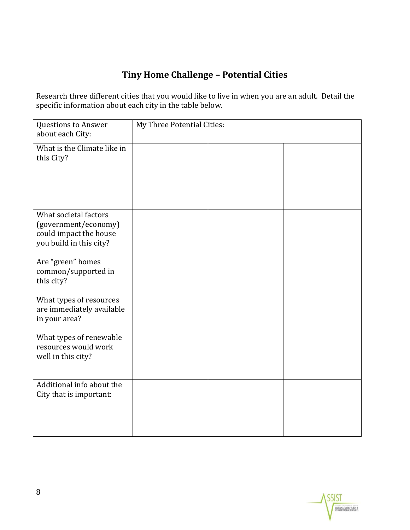#### **Tiny Home Challenge – Potential Cities**

Research three different cities that you would like to live in when you are an adult. Detail the specific information about each city in the table below.

| <b>Questions to Answer</b><br>about each City:                                                                                                               | My Three Potential Cities: |  |  |  |
|--------------------------------------------------------------------------------------------------------------------------------------------------------------|----------------------------|--|--|--|
| What is the Climate like in<br>this City?                                                                                                                    |                            |  |  |  |
| What societal factors<br>(government/economy)<br>could impact the house<br>you build in this city?<br>Are "green" homes<br>common/supported in<br>this city? |                            |  |  |  |
| What types of resources<br>are immediately available<br>in your area?<br>What types of renewable<br>resources would work<br>well in this city?               |                            |  |  |  |
| Additional info about the<br>City that is important:                                                                                                         |                            |  |  |  |

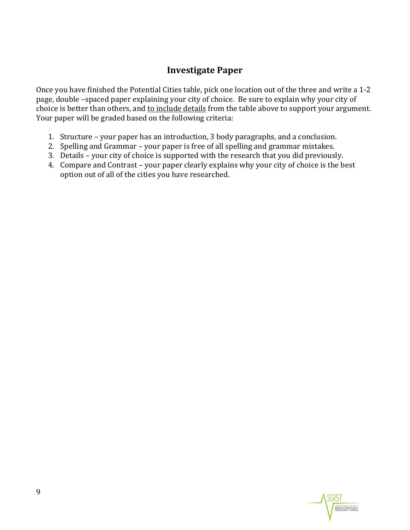#### **Investigate Paper**

Once you have finished the Potential Cities table, pick one location out of the three and write a 1-2 page, double –spaced paper explaining your city of choice. Be sure to explain why your city of choice is better than others, and to include details from the table above to support your argument. Your paper will be graded based on the following criteria:

- 1. Structure your paper has an introduction, 3 body paragraphs, and a conclusion.
- 2. Spelling and Grammar your paper is free of all spelling and grammar mistakes.
- 3. Details your city of choice is supported with the research that you did previously.
- 4. Compare and Contrast your paper clearly explains why your city of choice is the best option out of all of the cities you have researched.

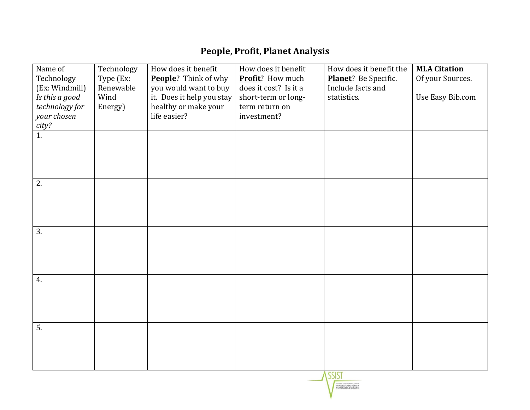#### **People, Profit, Planet Analysis**

| Name of<br>Technology            | Technology<br>Type (Ex: | How does it benefit<br>People? Think of why        | How does it benefit<br>Profit? How much      | How does it benefit the<br>Planet? Be Specific. | <b>MLA Citation</b><br>Of your Sources. |
|----------------------------------|-------------------------|----------------------------------------------------|----------------------------------------------|-------------------------------------------------|-----------------------------------------|
| (Ex: Windmill)<br>Is this a good | Renewable<br>Wind       | you would want to buy<br>it. Does it help you stay | does it cost? Is it a<br>short-term or long- | Include facts and<br>statistics.                | Use Easy Bib.com                        |
| technology for                   | Energy)                 | healthy or make your                               | term return on                               |                                                 |                                         |
| your chosen<br>city?             |                         | life easier?                                       | investment?                                  |                                                 |                                         |
| 1.                               |                         |                                                    |                                              |                                                 |                                         |
|                                  |                         |                                                    |                                              |                                                 |                                         |
|                                  |                         |                                                    |                                              |                                                 |                                         |
| 2.                               |                         |                                                    |                                              |                                                 |                                         |
|                                  |                         |                                                    |                                              |                                                 |                                         |
|                                  |                         |                                                    |                                              |                                                 |                                         |
|                                  |                         |                                                    |                                              |                                                 |                                         |
| 3.                               |                         |                                                    |                                              |                                                 |                                         |
|                                  |                         |                                                    |                                              |                                                 |                                         |
|                                  |                         |                                                    |                                              |                                                 |                                         |
| 4.                               |                         |                                                    |                                              |                                                 |                                         |
|                                  |                         |                                                    |                                              |                                                 |                                         |
|                                  |                         |                                                    |                                              |                                                 |                                         |
|                                  |                         |                                                    |                                              |                                                 |                                         |
| 5.                               |                         |                                                    |                                              |                                                 |                                         |
|                                  |                         |                                                    |                                              |                                                 |                                         |
|                                  |                         |                                                    |                                              |                                                 |                                         |
|                                  |                         |                                                    |                                              |                                                 |                                         |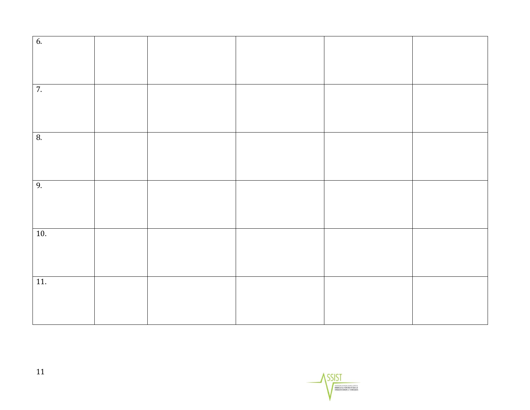| 6.                |  |  |  |
|-------------------|--|--|--|
|                   |  |  |  |
|                   |  |  |  |
|                   |  |  |  |
|                   |  |  |  |
| 7.                |  |  |  |
|                   |  |  |  |
|                   |  |  |  |
|                   |  |  |  |
|                   |  |  |  |
| 8.                |  |  |  |
|                   |  |  |  |
|                   |  |  |  |
|                   |  |  |  |
|                   |  |  |  |
| 9.                |  |  |  |
|                   |  |  |  |
|                   |  |  |  |
|                   |  |  |  |
|                   |  |  |  |
| $\overline{10}$ . |  |  |  |
|                   |  |  |  |
|                   |  |  |  |
|                   |  |  |  |
|                   |  |  |  |
| 11.               |  |  |  |
|                   |  |  |  |
|                   |  |  |  |
|                   |  |  |  |
|                   |  |  |  |

 $\frac{\sqrt{SSIST}}{\sqrt{3.555}}$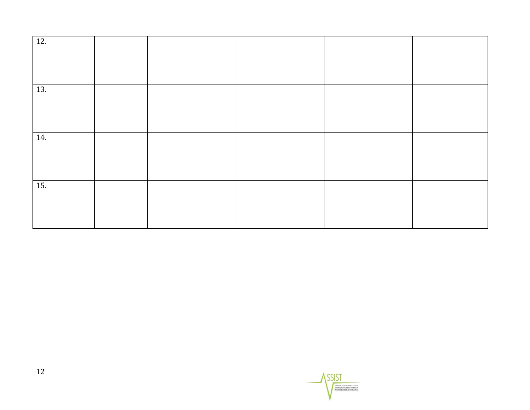| 12. |  |  |  |
|-----|--|--|--|
|     |  |  |  |
|     |  |  |  |
| 13. |  |  |  |
|     |  |  |  |
|     |  |  |  |
| 14. |  |  |  |
|     |  |  |  |
|     |  |  |  |
| 15. |  |  |  |
|     |  |  |  |
|     |  |  |  |

SSIST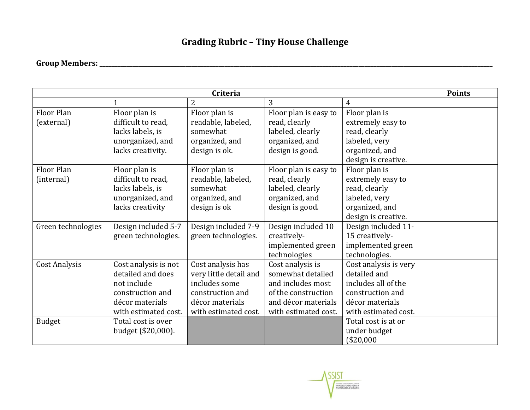#### **Grading Rubric – Tiny House Challenge**

#### **Group Members: \_\_\_\_\_\_\_\_\_\_\_\_\_\_\_\_\_\_\_\_\_\_\_\_\_\_\_\_\_\_\_\_\_\_\_\_\_\_\_\_\_\_\_\_\_\_\_\_\_\_\_\_\_\_\_\_\_\_\_\_\_\_\_\_\_\_\_\_\_\_\_\_\_\_\_\_\_\_\_\_\_\_\_\_\_\_\_\_\_\_\_\_\_\_\_\_\_\_\_\_\_\_\_\_\_\_\_\_\_\_\_\_\_\_\_\_\_\_\_\_\_\_\_\_\_\_\_\_\_\_\_\_**

| Criteria             |                      |                        |                       |                       | <b>Points</b> |
|----------------------|----------------------|------------------------|-----------------------|-----------------------|---------------|
|                      |                      | $\overline{2}$         | 3                     | $\overline{4}$        |               |
| Floor Plan           | Floor plan is        | Floor plan is          | Floor plan is easy to | Floor plan is         |               |
| (external)           | difficult to read,   | readable, labeled,     | read, clearly         | extremely easy to     |               |
|                      | lacks labels, is     | somewhat               | labeled, clearly      | read, clearly         |               |
|                      | unorganized, and     | organized, and         | organized, and        | labeled, very         |               |
|                      | lacks creativity.    | design is ok.          | design is good.       | organized, and        |               |
|                      |                      |                        |                       | design is creative.   |               |
| Floor Plan           | Floor plan is        | Floor plan is          | Floor plan is easy to | Floor plan is         |               |
| (internal)           | difficult to read,   | readable, labeled,     | read, clearly         | extremely easy to     |               |
|                      | lacks labels, is     | somewhat               | labeled, clearly      | read, clearly         |               |
|                      | unorganized, and     | organized, and         | organized, and        | labeled, very         |               |
|                      | lacks creativity     | design is ok           | design is good.       | organized, and        |               |
|                      |                      |                        |                       | design is creative.   |               |
| Green technologies   | Design included 5-7  | Design included 7-9    | Design included 10    | Design included 11-   |               |
|                      | green technologies.  | green technologies.    | creatively-           | 15 creatively-        |               |
|                      |                      |                        | implemented green     | implemented green     |               |
|                      |                      |                        | technologies          | technologies.         |               |
| <b>Cost Analysis</b> | Cost analysis is not | Cost analysis has      | Cost analysis is      | Cost analysis is very |               |
|                      | detailed and does    | very little detail and | somewhat detailed     | detailed and          |               |
|                      | not include          | includes some          | and includes most     | includes all of the   |               |
|                      | construction and     | construction and       | of the construction   | construction and      |               |
|                      | décor materials      | décor materials        | and décor materials   | décor materials       |               |
|                      | with estimated cost. | with estimated cost.   | with estimated cost.  | with estimated cost.  |               |
| <b>Budget</b>        | Total cost is over   |                        |                       | Total cost is at or   |               |
|                      | budget (\$20,000).   |                        |                       | under budget          |               |
|                      |                      |                        |                       | (\$20,000             |               |